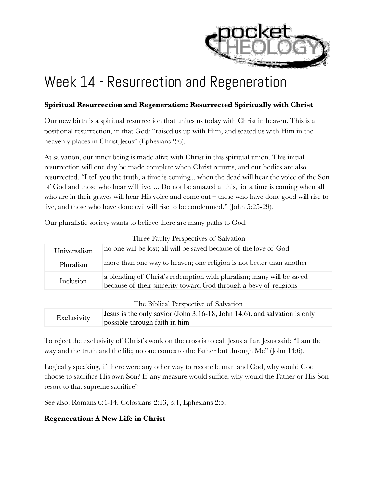

# Week 14 - Resurrection and Regeneration

### **Spiritual Resurrection and Regeneration: Resurrected Spiritually with Christ**

Our new birth is a spiritual resurrection that unites us today with Christ in heaven. This is a positional resurrection, in that God: "raised us up with Him, and seated us with Him in the heavenly places in Christ Jesus" (Ephesians 2:6).

At salvation, our inner being is made alive with Christ in this spiritual union. This initial resurrection will one day be made complete when Christ returns, and our bodies are also resurrected. "I tell you the truth, a time is coming... when the dead will hear the voice of the Son of God and those who hear will live. ... Do not be amazed at this, for a time is coming when all who are in their graves will hear His voice and come out – those who have done good will rise to live, and those who have done evil will rise to be condemned." (John 5:25-29).

| Three Faulty Perspectives of Salvation |                                                                                                                                           |  |
|----------------------------------------|-------------------------------------------------------------------------------------------------------------------------------------------|--|
| Universalism                           | no one will be lost; all will be saved because of the love of God                                                                         |  |
| Pluralism                              | more than one way to heaven; one religion is not better than another                                                                      |  |
| Inclusion                              | a blending of Christ's redemption with pluralism; many will be saved<br>because of their sincerity toward God through a bevy of religions |  |

Our pluralistic society wants to believe there are many paths to God.

The Biblical Perspective of Salvation

|  | Exclusivity | Jesus is the only savior (John $3:16-18$ , John 14:6), and salvation is only<br>possible through faith in him |
|--|-------------|---------------------------------------------------------------------------------------------------------------|
|--|-------------|---------------------------------------------------------------------------------------------------------------|

To reject the exclusivity of Christ's work on the cross is to call Jesus a liar. Jesus said: "I am the way and the truth and the life; no one comes to the Father but through Me" (John 14:6).

Logically speaking, if there were any other way to reconcile man and God, why would God choose to sacrifice His own Son? If any measure would suffice, why would the Father or His Son resort to that supreme sacrifice?

See also: Romans 6:4-14, Colossians 2:13, 3:1, Ephesians 2:5.

### **Regeneration: A New Life in Christ**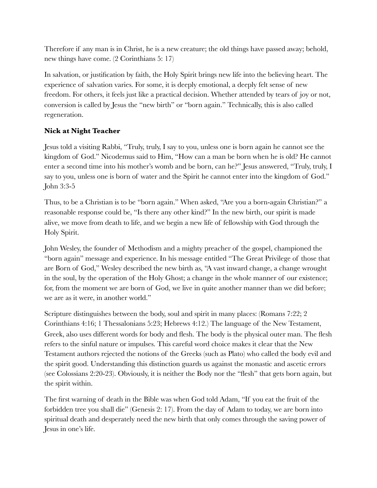Therefore if any man is in Christ, he is a new creature; the old things have passed away; behold, new things have come. (2 Corinthians 5: 17)

In salvation, or justification by faith, the Holy Spirit brings new life into the believing heart. The experience of salvation varies. For some, it is deeply emotional, a deeply felt sense of new freedom. For others, it feels just like a practical decision. Whether attended by tears of joy or not, conversion is called by Jesus the "new birth" or "born again." Technically, this is also called regeneration.

## **Nick at Night Teacher**

Jesus told a visiting Rabbi, "Truly, truly, I say to you, unless one is born again he cannot see the kingdom of God." Nicodemus said to Him, "How can a man be born when he is old? He cannot enter a second time into his mother's womb and be born, can he?" Jesus answered, "Truly, truly, I say to you, unless one is born of water and the Spirit he cannot enter into the kingdom of God." John 3:3-5

Thus, to be a Christian is to be "born again." When asked, "Are you a born-again Christian?" a reasonable response could be, "Is there any other kind?" In the new birth, our spirit is made alive, we move from death to life, and we begin a new life of fellowship with God through the Holy Spirit.

John Wesley, the founder of Methodism and a mighty preacher of the gospel, championed the "born again" message and experience. In his message entitled "The Great Privilege of those that are Born of God," Wesley described the new birth as, "A vast inward change, a change wrought in the soul, by the operation of the Holy Ghost; a change in the whole manner of our existence; for, from the moment we are born of God, we live in quite another manner than we did before; we are as it were, in another world."

Scripture distinguishes between the body, soul and spirit in many places: (Romans 7:22; 2 Corinthians 4:16; 1 Thessalonians 5:23; Hebrews 4:12.) The language of the New Testament, Greek, also uses different words for body and flesh. The body is the physical outer man. The flesh refers to the sinful nature or impulses. This careful word choice makes it clear that the New Testament authors rejected the notions of the Greeks (such as Plato) who called the body evil and the spirit good. Understanding this distinction guards us against the monastic and ascetic errors (see Colossians 2:20-23). Obviously, it is neither the Body nor the "flesh" that gets born again, but the spirit within.

The first warning of death in the Bible was when God told Adam, "If you eat the fruit of the forbidden tree you shall die" (Genesis 2: 17). From the day of Adam to today, we are born into spiritual death and desperately need the new birth that only comes through the saving power of Jesus in one's life.